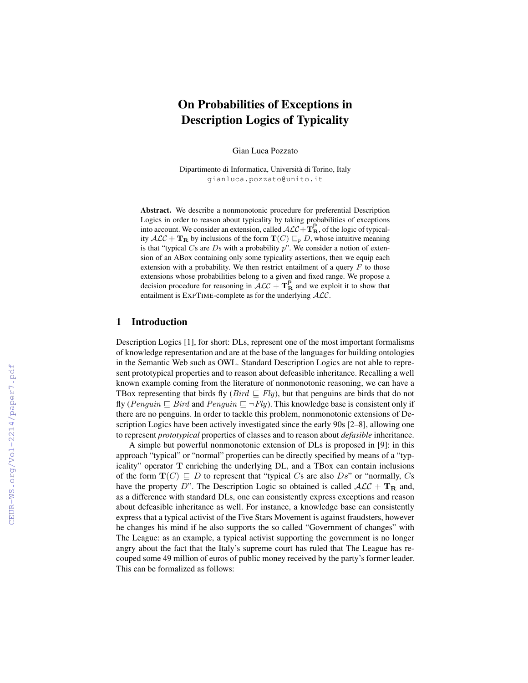# On Probabilities of Exceptions in Description Logics of Typicality

Gian Luca Pozzato

Dipartimento di Informatica, Universita di Torino, Italy ` gianluca.pozzato@unito.it

Abstract. We describe a nonmonotonic procedure for preferential Description Logics in order to reason about typicality by taking probabilities of exceptions into account. We consider an extension, called  $\mathcal{ALC} + \mathbf{T}_{\mathbf{R}}^{\mathbf{P}}$ , of the logic of typicality  $\mathcal{ALC} + \mathbf{T}_{\mathbf{R}}$  by inclusions of the form  $\mathbf{T}(C) \sqsubseteq_p D$ , whose intuitive meaning is that "typical  $Cs$  are  $Ds$  with a probability  $p$ ". We consider a notion of extension of an ABox containing only some typicality assertions, then we equip each extension with a probability. We then restrict entailment of a query  $F$  to those extensions whose probabilities belong to a given and fixed range. We propose a decision procedure for reasoning in  $\widehat{ALC} + \mathbf{T}_{\mathbf{R}}^{\mathbf{P}}$  and we exploit it to show that entailment is EXPTIME-complete as for the underlying ALC.

## 1 Introduction

Description Logics [1], for short: DLs, represent one of the most important formalisms of knowledge representation and are at the base of the languages for building ontologies in the Semantic Web such as OWL. Standard Description Logics are not able to represent prototypical properties and to reason about defeasible inheritance. Recalling a well known example coming from the literature of nonmonotonic reasoning, we can have a TBox representing that birds fly (*Bird*  $\sqsubseteq$  *Fly*), but that penguins are birds that do not fly (Penquin  $\Box$  Bird and Penquin  $\Box \neg Fly$ ). This knowledge base is consistent only if there are no penguins. In order to tackle this problem, nonmonotonic extensions of Description Logics have been actively investigated since the early 90s [2–8], allowing one to represent *prototypical* properties of classes and to reason about *defasible* inheritance.

A simple but powerful nonmonotonic extension of DLs is proposed in [9]: in this approach "typical" or "normal" properties can be directly specified by means of a "typicality" operator T enriching the underlying DL, and a TBox can contain inclusions of the form  $\mathbf{T}(C) \sqsubseteq D$  to represent that "typical Cs are also Ds" or "normally, Cs have the property D". The Description Logic so obtained is called  $\mathcal{ALC} + \mathbf{T}_{\mathbf{R}}$  and, as a difference with standard DLs, one can consistently express exceptions and reason about defeasible inheritance as well. For instance, a knowledge base can consistently express that a typical activist of the Five Stars Movement is against fraudsters, however he changes his mind if he also supports the so called "Government of changes" with The League: as an example, a typical activist supporting the government is no longer angry about the fact that the Italy's supreme court has ruled that The League has recouped some 49 million of euros of public money received by the party's former leader. This can be formalized as follows: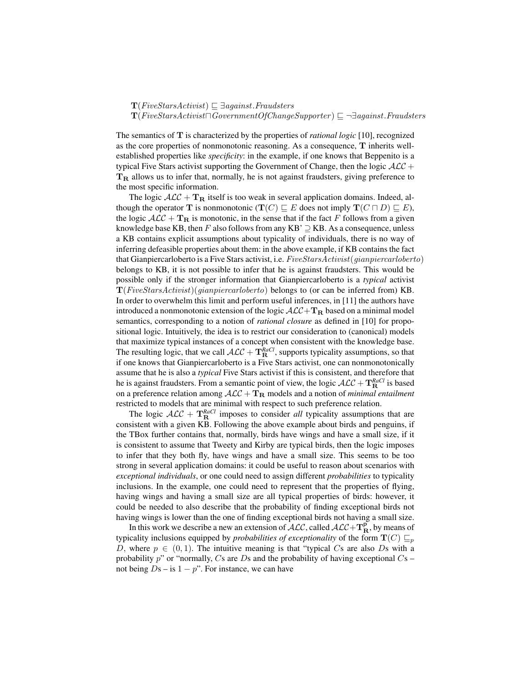#### $\mathbf{T}(FiveStarsActivity) \sqsubseteq \exists against.Fraudsters$

#### $\mathbf{T}(Five StarsActivity t \Box GovernmentOfChangeSupporter) \sqsubseteq \neg \exists against.Fraudsters$

The semantics of T is characterized by the properties of *rational logic* [10], recognized as the core properties of nonmonotonic reasoning. As a consequence, T inherits wellestablished properties like *specificity*: in the example, if one knows that Beppenito is a typical Five Stars activist supporting the Government of Change, then the logic  $\mathcal{ALC}$  +  $T<sub>R</sub>$  allows us to infer that, normally, he is not against fraudsters, giving preference to the most specific information.

The logic  $A\mathcal{L}C + \mathbf{T}_R$  itself is too weak in several application domains. Indeed, although the operator **T** is nonmonotonic  $(\mathbf{T}(C) \sqsubseteq E)$  does not imply  $\mathbf{T}(C \sqcap D) \sqsubseteq E$ ), the logic  $A\mathcal{LC} + \mathbf{T}_R$  is monotonic, in the sense that if the fact F follows from a given knowledge base KB, then F also follows from any KB'  $\supseteq$  KB. As a consequence, unless a KB contains explicit assumptions about typicality of individuals, there is no way of inferring defeasible properties about them: in the above example, if KB contains the fact that Gianpiercarloberto is a Five Stars activist, i.e.  $FiveStarsActivist(qian piercarloberto)$ belongs to KB, it is not possible to infer that he is against fraudsters. This would be possible only if the stronger information that Gianpiercarloberto is a *typical* activist  $\mathbf{T}(FiveStarsActivist)(qian piercarloberto)$  belongs to (or can be inferred from) KB. In order to overwhelm this limit and perform useful inferences, in [11] the authors have introduced a nonmonotonic extension of the logic  $\mathcal{ALC}+\mathbf{T}_{\mathbf{R}}$  based on a minimal model semantics, corresponding to a notion of *rational closure* as defined in [10] for propositional logic. Intuitively, the idea is to restrict our consideration to (canonical) models that maximize typical instances of a concept when consistent with the knowledge base. The resulting logic, that we call  $\mathcal{ALC} + \mathbf{T}_{\mathbf{R}}^{RaCl}$ , supports typicality assumptions, so that if one knows that Gianpiercarloberto is a Five Stars activist, one can nonmonotonically assume that he is also a *typical* Five Stars activist if this is consistent, and therefore that he is against fraudsters. From a semantic point of view, the logic  $\mathcal{ALC} + \mathbf{T}_{\mathbf{R}}^{RaCl}$  is based on a preference relation among  $\mathcal{ALC} + \mathbf{T_R}$  models and a notion of *minimal entailment* restricted to models that are minimal with respect to such preference relation.

The logic  $\mathcal{ALC} + \mathbf{T}_{\mathbf{R}}^{RaCl}$  imposes to consider *all* typicality assumptions that are consistent with a given KB. Following the above example about birds and penguins, if the TBox further contains that, normally, birds have wings and have a small size, if it is consistent to assume that Tweety and Kirby are typical birds, then the logic imposes to infer that they both fly, have wings and have a small size. This seems to be too strong in several application domains: it could be useful to reason about scenarios with *exceptional individuals*, or one could need to assign different *probabilities* to typicality inclusions. In the example, one could need to represent that the properties of flying, having wings and having a small size are all typical properties of birds: however, it could be needed to also describe that the probability of finding exceptional birds not having wings is lower than the one of finding exceptional birds not having a small size.

In this work we describe a new an extension of  $\cal{ALC}$ , called  $\cal{ALC}+\mathbf{T}_R^P$ , by means of typicality inclusions equipped by *probabilities of exceptionality* of the form  $T(C) \sqsubseteq_p$ D, where  $p \in (0, 1)$ . The intuitive meaning is that "typical Cs are also Ds with a probability  $p$ " or "normally, Cs are Ds and the probability of having exceptional  $Cs$  – not being  $Ds$  – is  $1 - p$ ". For instance, we can have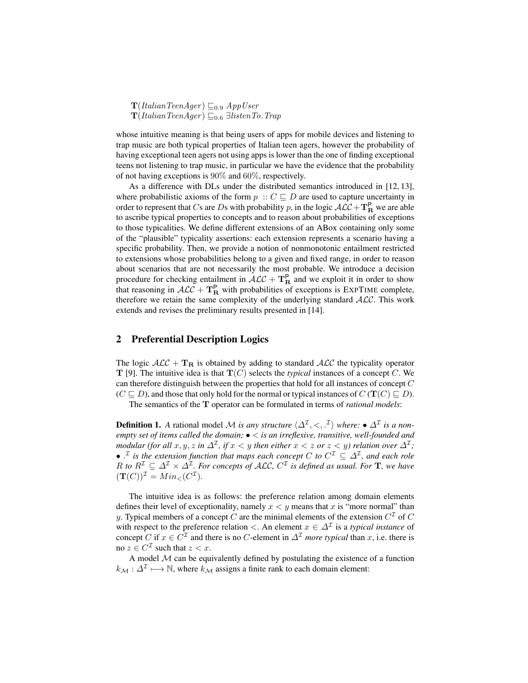$\mathbf{T}(ItalianTeamAger) \sqsubseteq_{0.9} AppUser$  $\mathbf{T}(ItalianTeamAger) \sqsubseteq_{0.6} \exists listenTo.Trap$ 

whose intuitive meaning is that being users of apps for mobile devices and listening to trap music are both typical properties of Italian teen agers, however the probability of having exceptional teen agers not using apps is lower than the one of finding exceptional teens not listening to trap music, in particular we have the evidence that the probability of not having exceptions is 90% and 60%, respectively.

As a difference with DLs under the distributed semantics introduced in [12, 13], where probabilistic axioms of the form  $p :: C \sqsubseteq D$  are used to capture uncertainty in order to represent that Cs are Ds with probability p, in the logic  $\mathcal{ALC} + \mathbf{T}_{\mathbf{R}}^{\mathbf{P}}$  we are able to ascribe typical properties to concepts and to reason about probabilities of exceptions to those typicalities. We define different extensions of an ABox containing only some of the "plausible" typicality assertions: each extension represents a scenario having a specific probability. Then, we provide a notion of nonmonotonic entailment restricted to extensions whose probabilities belong to a given and fixed range, in order to reason about scenarios that are not necessarily the most probable. We introduce a decision procedure for checking entailment in  $\mathcal{ALC} + \mathbf{T}_{\mathbf{R}}^{\mathbf{P}}$  and we exploit it in order to show that reasoning in  $\mathcal{ALC} + \mathbf{T}_{\mathbf{R}}^{\mathbf{p}}$  with probabilities of exceptions is EXPTIME complete, therefore we retain the same complexity of the underlying standard  $ALC$ . This work extends and revises the preliminary results presented in [14].

### 2 Preferential Description Logics

The logic  $\mathcal{ALC} + \mathbf{T}_B$  is obtained by adding to standard  $\mathcal{ALC}$  the typicality operator **T** [9]. The intuitive idea is that  $T(C)$  selects the *typical* instances of a concept C. We can therefore distinguish between the properties that hold for all instances of concept  $C$  $(C \sqsubseteq D)$ , and those that only hold for the normal or typical instances of  $C$  ( $\mathbf{T}(C) \sqsubseteq D$ ).

The semantics of the T operator can be formulated in terms of *rational models*:

**Definition 1.** A rational model M is any structure  $\langle \Delta^{\mathcal{I}}, \langle \cdot, \cdot^{\mathcal{I}} \rangle$  where:  $\bullet \Delta^{\mathcal{I}}$  is a non*empty set of items called the domain;* • < *is an irreflexive, transitive, well-founded and modular (for all*  $x, y, z$  *in*  $\Delta^{\mathcal{I}}$ *, if*  $x < y$  *then either*  $x < z$  *or*  $z < y$ *) relation over*  $\Delta^{\mathcal{I}}$ *;*  $\bullet$   $\cdot^{\mathcal{I}}$  is the extension function that maps each concept C to  $C^{\mathcal{I}} \subseteq \Delta^{\mathcal{I}}$ , and each role R to  $R^{\mathcal{I}} \subseteq \Delta^{\mathcal{I}} \times \Delta^{\mathcal{I}}$ *. For concepts of ALC,*  $C^{\mathcal{I}}$  *is defined as usual. For* **T***, we have*  $({\bf T}(C))^{\mathcal{I}} = Min_{\leq}(C^{\mathcal{I}}).$ 

The intuitive idea is as follows: the preference relation among domain elements defines their level of exceptionality, namely  $x < y$  means that x is "more normal" than y. Typical members of a concept C are the minimal elements of the extension  $C^{I}$  of C with respect to the preference relation  $\lt$ . An element  $x \in \Delta^{\mathcal{I}}$  is a *typical instance* of concept C if  $x \in C^{\mathcal{I}}$  and there is no C-element in  $\Delta^{\mathcal{I}}$  *more typical* than x, i.e. there is no  $z \in C^{\mathcal{I}}$  such that  $z < x$ .

A model  $M$  can be equivalently defined by postulating the existence of a function  $k_{\mathcal{M}} : \Delta^{\mathcal{I}} \longmapsto \mathbb{N}$ , where  $k_{\mathcal{M}}$  assigns a finite rank to each domain element: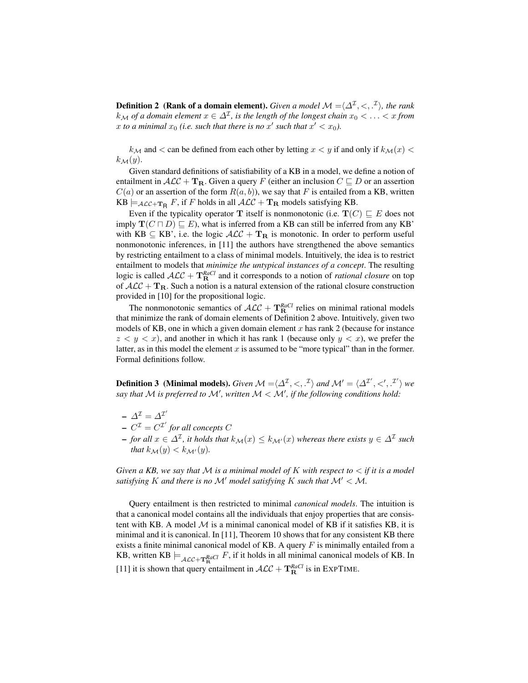**Definition 2** (Rank of a domain element). *Given a model*  $\mathcal{M} = \langle \Delta^{\mathcal{I}}, \langle ., .^{\mathcal{I}} \rangle$ , the rank  $k_{\mathcal{M}}$  of a domain element  $x \in \Delta^{\mathcal{I}}$ , is the length of the longest chain  $x_0 < \ldots < x$  from x to a minimal  $x_0$  (i.e. such that there is no  $x'$  such that  $x' < x_0$ ).

 $k_{\mathcal{M}}$  and  $\lt$  can be defined from each other by letting  $x \lt y$  if and only if  $k_{\mathcal{M}}(x) \lt$  $k_{\mathcal{M}}(y).$ 

Given standard definitions of satisfiability of a KB in a model, we define a notion of entailment in  $\mathcal{ALC} + \mathbf{T}_R$ . Given a query F (either an inclusion  $C \sqsubseteq D$  or an assertion  $C(a)$  or an assertion of the form  $R(a, b)$ , we say that F is entailed from a KB, written  $KB \models_{\mathcal{ALC}+\mathbf{T}_{\mathsf{R}}} F$ , if F holds in all  $\mathcal{ALC}+\mathbf{T}_{\mathsf{R}}$  models satisfying KB.

Even if the typicality operator **T** itself is nonmonotonic (i.e.  $T(C) \sqsubseteq E$  does not imply  $\mathbf{T}(C \sqcap D) \sqsubseteq E$ ), what is inferred from a KB can still be inferred from any KB' with KB  $\subseteq$  KB', i.e. the logic  $\mathcal{ALC} + \mathbf{T_R}$  is monotonic. In order to perform useful nonmonotonic inferences, in [11] the authors have strengthened the above semantics by restricting entailment to a class of minimal models. Intuitively, the idea is to restrict entailment to models that *minimize the untypical instances of a concept*. The resulting logic is called  $\mathcal{ALC} + \mathbf{T}_{\mathbf{R}}^{RaCl}$  and it corresponds to a notion of *rational closure* on top of  $\mathcal{ALC} + \mathbf{T}_{\mathbf{R}}$ . Such a notion is a natural extension of the rational closure construction provided in [10] for the propositional logic.

The nonmonotonic semantics of  $\mathcal{ALC} + \mathbf{T}_{\mathbf{R}}^{RaCl}$  relies on minimal rational models that minimize the rank of domain elements of Definition 2 above. Intuitively, given two models of KB, one in which a given domain element  $x$  has rank 2 (because for instance  $z < y < x$ ), and another in which it has rank 1 (because only  $y < x$ ), we prefer the latter, as in this model the element  $x$  is assumed to be "more typical" than in the former. Formal definitions follow.

**Definition 3** (Minimal models). *Given*  $\mathcal{M} = \langle \Delta^{\mathcal{I}}, \langle , \cdot, \cdot^{\mathcal{I}} \rangle$  and  $\mathcal{M}' = \langle \Delta^{\mathcal{I}'}, \langle', \cdot^{\mathcal{I}'} \rangle$  we say that  $M$  is preferred to  $M'$ , written  $M < M'$ , if the following conditions hold:

- $\Delta^{\mathcal{I}} = \Delta^{\mathcal{I}'}$
- $-C^{\mathcal{I}} = C^{\mathcal{I}'}$  for all concepts C
- $-$  *for all*  $x \in \Delta^{\mathcal{I}}$ , it holds that  $k_{\mathcal{M}}(x) \leq k_{\mathcal{M}'}(x)$  whereas there exists  $y \in \Delta^{\mathcal{I}}$  such *that*  $k_{\mathcal{M}}(y) < k_{\mathcal{M}'}(y)$ .

*Given a KB, we say that* M *is a minimal model of* K *with respect to* < *if it is a model satisfying* K *and there is no*  $\mathcal{M}'$  *model satisfying* K *such that*  $\mathcal{M}' < \mathcal{M}$ *.* 

Query entailment is then restricted to minimal *canonical models*. The intuition is that a canonical model contains all the individuals that enjoy properties that are consistent with KB. A model  $M$  is a minimal canonical model of KB if it satisfies KB, it is minimal and it is canonical. In  $[11]$ , Theorem 10 shows that for any consistent KB there exists a finite minimal canonical model of KB. A query  $F$  is minimally entailed from a KB, written KB  $\models_{\mathcal{ALC}+\mathbf{T}_{\mathbf{B}}^{RdCl}} F$ , if it holds in all minimal canonical models of KB. In [11] it is shown that query entailment in  $\mathcal{ALC} + \mathbf{T}_{\mathbf{R}}^{RaCl}$  is in EXPTIME.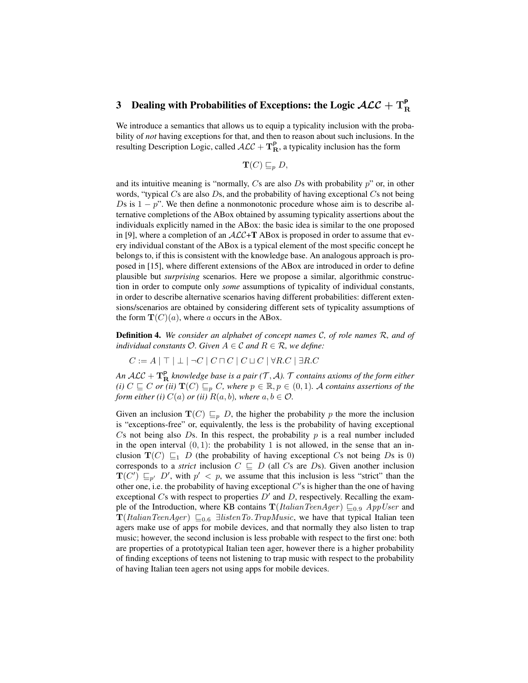# 3 Dealing with Probabilities of Exceptions: the Logic  $\mathcal{ALC} + \mathrm{T}_{\mathrm{R}}^{\mathsf{P}}$

We introduce a semantics that allows us to equip a typicality inclusion with the probability of *not* having exceptions for that, and then to reason about such inclusions. In the resulting Description Logic, called  $\mathcal{ALC} + \mathbf{T}_{\mathbf{R}}^{\mathbf{p}}$ , a typicality inclusion has the form

$$
\textbf{T}(C) \sqsubseteq_p D,
$$

and its intuitive meaning is "normally,  $Cs$  are also  $Ds$  with probability  $p$ " or, in other words, "typical  $Cs$  are also  $Ds$ , and the probability of having exceptional  $Cs$  not being Ds is  $1 - p$ ". We then define a nonmonotonic procedure whose aim is to describe alternative completions of the ABox obtained by assuming typicality assertions about the individuals explicitly named in the ABox: the basic idea is similar to the one proposed in [9], where a completion of an  $ALC+T$  ABox is proposed in order to assume that every individual constant of the ABox is a typical element of the most specific concept he belongs to, if this is consistent with the knowledge base. An analogous approach is proposed in [15], where different extensions of the ABox are introduced in order to define plausible but *surprising* scenarios. Here we propose a similar, algorithmic construction in order to compute only *some* assumptions of typicality of individual constants, in order to describe alternative scenarios having different probabilities: different extensions/scenarios are obtained by considering different sets of typicality assumptions of the form  $\mathbf{T}(C)(a)$ , where a occurs in the ABox.

Definition 4. *We consider an alphabet of concept names* C*, of role names* R*, and of individual constants*  $O$ *. Given*  $A \in \mathcal{C}$  *and*  $R \in \mathcal{R}$ *, we define:* 

 $C := A | \top | \bot | \neg C | C \sqcap C | C \sqcup C | \forall R.C | \exists R.C$ 

An  $\cal{ALC} + \bf{T_R^P}$  *knowledge base is a pair* (T, A).  $\cal{T}$  *contains axioms of the form either (i)*  $C \subseteq C$  *or (ii)*  $\mathbf{T}(C) \subseteq_p C$ *, where*  $p \in \mathbb{R}, p \in (0,1)$ *. A contains assertions of the form either (i)*  $C(a)$  *or (ii)*  $R(a, b)$ *, where*  $a, b \in \mathcal{O}$ *.* 

Given an inclusion  $\mathbf{T}(C) \sqsubseteq_p D$ , the higher the probability p the more the inclusion is "exceptions-free" or, equivalently, the less is the probability of having exceptional Cs not being also Ds. In this respect, the probability  $p$  is a real number included in the open interval  $(0, 1)$ : the probability 1 is not allowed, in the sense that an inclusion  $\mathbf{T}(C) \sqsubseteq_1 D$  (the probability of having exceptional Cs not being Ds is 0) corresponds to a *strict* inclusion  $C \subseteq D$  (all Cs are Ds). Given another inclusion  $\mathbf{T}(C') \sqsubseteq_{p'} D'$ , with  $p' < p$ , we assume that this inclusion is less "strict" than the other one, i.e. the probability of having exceptional  $C'$ s is higher than the one of having exceptional  $Cs$  with respect to properties  $D'$  and  $D$ , respectively. Recalling the example of the Introduction, where KB contains  $\mathbf{T}(ItalianTeamAger) \sqsubseteq_{0.9} AppUser$  and  $\mathbf{T}(ItalianTeam \text{1}) \subseteq_{0.6} \exists listenTo.TrapMusic, we have that typical Italian teen$ agers make use of apps for mobile devices, and that normally they also listen to trap music; however, the second inclusion is less probable with respect to the first one: both are properties of a prototypical Italian teen ager, however there is a higher probability of finding exceptions of teens not listening to trap music with respect to the probability of having Italian teen agers not using apps for mobile devices.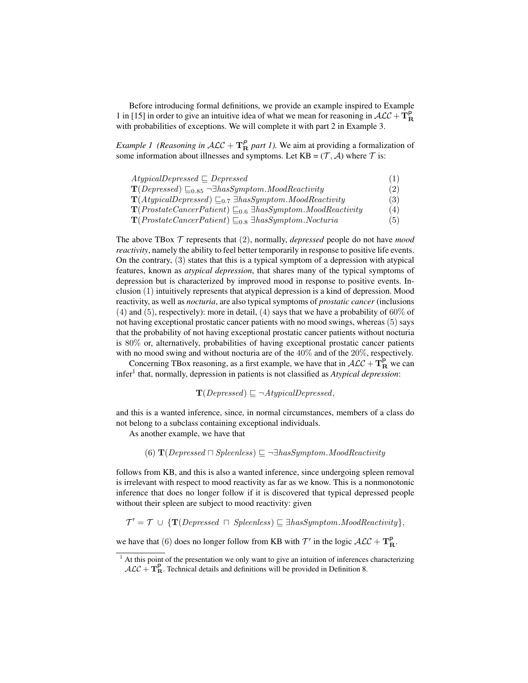Before introducing formal definitions, we provide an example inspired to Example 1 in [15] in order to give an intuitive idea of what we mean for reasoning in  $\mathcal{ALC} + \mathbf{T}_{\mathbf{R}}^{\mathbf{P}}$ with probabilities of exceptions. We will complete it with part 2 in Example 3.

*Example 1 (Reasoning in*  $ALC + T_R^P$  *part 1).* We aim at providing a formalization of some information about illnesses and symptoms. Let  $KB = (\mathcal{T}, \mathcal{A})$  where  $\mathcal{T}$  is:

| $AtypicalDepressed \sqsubseteq Depressed$                                                           | (1) |
|-----------------------------------------------------------------------------------------------------|-----|
| $\mathbf{T}(Depressed) \sqsubseteq_{0.85} \neg \exists has Symptom. \textit{ModReactivity}$         | (2) |
| $\mathbf{T}(AtypicalDepressed) \sqsubseteq_{0.7} \exists has Symptom. \textit{ModReactivity}$       | (3) |
| $\mathbf{T}(Prostate Cancer Patient) \sqsubseteq_{0.6} \exists has Symptom. \textit{ModReactivity}$ | (4) |
| $\mathbf{T}(Prostate Cancer Patient) \sqsubseteq_{0.8} \exists has Symptom. Nocturia$               | (5) |

The above TBox T represents that (2), normally, *depressed* people do not have *mood reactivity*, namely the ability to feel better temporarily in response to positive life events. On the contrary, (3) states that this is a typical symptom of a depression with atypical features, known as *atypical depression*, that shares many of the typical symptoms of depression but is characterized by improved mood in response to positive events. Inclusion (1) intuitively represents that atypical depression is a kind of depression. Mood reactivity, as well as *nocturia*, are also typical symptoms of *prostatic cancer* (inclusions (4) and (5), respectively): more in detail, (4) says that we have a probability of 60% of not having exceptional prostatic cancer patients with no mood swings, whereas (5) says that the probability of not having exceptional prostatic cancer patients without nocturia is 80% or, alternatively, probabilities of having exceptional prostatic cancer patients with no mood swing and without nocturia are of the 40% and of the 20%, respectively.

Concerning TBox reasoning, as a first example, we have that in  $\mathcal{ALC} + \mathbf{T}_{\mathbf{R}}^{\mathbf{P}}$  we can infer<sup>1</sup> that, normally, depression in patients is not classified as *Atypical depression*:

 $\mathbf{T}(Depressed) \sqsubseteq \neg AtypicalDepressed,$ 

and this is a wanted inference, since, in normal circumstances, members of a class do not belong to a subclass containing exceptional individuals.

As another example, we have that

(6)  $\mathbf{T}(Depressed \sqcap Spleeness) \sqsubseteq \neg \exists hasSymptom. \textit{ModReactivity}$ 

follows from KB, and this is also a wanted inference, since undergoing spleen removal is irrelevant with respect to mood reactivity as far as we know. This is a nonmonotonic inference that does no longer follow if it is discovered that typical depressed people without their spleen are subject to mood reactivity: given

 $\mathcal{T}' = \mathcal{T} \cup {\mathbf{T}}(Depressed \cap Spleeness) \sqsubseteq \exists hasSymptom.MoodReactivity\},\$ 

we have that (6) does no longer follow from KB with  $\mathcal{T}'$  in the logic  $\mathcal{ALC} + \mathbf{T}_{\mathbf{R}}^{\mathbf{P}}$ .

 $1$  At this point of the presentation we only want to give an intuition of inferences characterizing  $\mathcal{ALC} + \mathbf{T}_{\mathbf{R}}^{\mathbf{P}}$ . Technical details and definitions will be provided in Definition 8.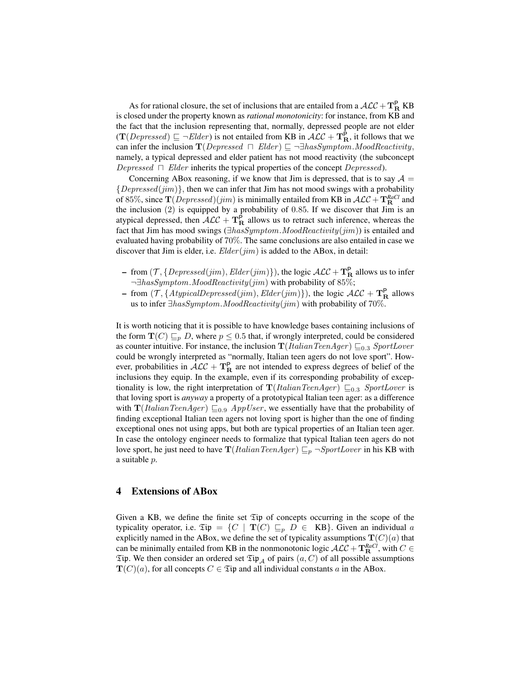As for rational closure, the set of inclusions that are entailed from a  $\mathcal{ALC} + \mathbf{T}_{\mathbf{R}}^{\mathbf{P}}$  KB is closed under the property known as *rational monotonicity*: for instance, from KB and the fact that the inclusion representing that, normally, depressed people are not elder  $(T(Depressed) \sqsubseteq \neg Elder)$  is not entailed from KB in  $\cal{ALC}$  +  $\bf{T}_R^P$ , it follows that we can infer the inclusion  $\mathbf{T}(Depressed \cap Elder) \sqsubseteq \neg \exists hasSymptom.ModReactivity,$ namely, a typical depressed and elder patient has not mood reactivity (the subconcept Depressed  $\Box$  Elder inherits the typical properties of the concept Depressed).

Concerning ABox reasoning, if we know that Jim is depressed, that is to say  $A =$  ${Depressed(jim)}$ , then we can infer that Jim has not mood swings with a probability of 85%, since  $\mathbf{T}(Depressed)(jim)$  is minimally entailed from KB in  $\mathcal{ALC} + \mathbf{T}_{\mathbf{R}}^{RaCl}$  and the inclusion (2) is equipped by a probability of 0.85. If we discover that Jim is an atypical depressed, then  $\mathcal{ALC} + \mathbf{T}_{\mathbf{R}}^{\mathbf{P}}$  allows us to retract such inference, whereas the fact that Jim has mood swings ( $\exists hasSymptom. \textit{ModReactivity}(jim)$ ) is entailed and evaluated having probability of 70%. The same conclusions are also entailed in case we discover that Jim is elder, i.e.  $Elder(jim)$  is added to the ABox, in detail:

- from  $(\mathcal{T}, \{Depressed(jim),Elder(jim)\})$ , the logic  $\mathcal{ALC} + \mathbf{T}_{\mathbf{R}}^{\mathbf{P}}$  allows us to infer ¬∃hasSymptom.MoodReactivity(jim) with probability of 85%;
- from  $(\mathcal{T}, \{AtypicalDepressed(jim),Elder(jim)\})$ , the logic  $\mathcal{ALC} + \mathbf{T}_{\mathbf{R}}^{\mathbf{P}}$  allows us to infer  $\exists hasSymptom. \textit{ModReactivity}(jim)$  with probability of 70%.

It is worth noticing that it is possible to have knowledge bases containing inclusions of the form  $\mathbf{T}(C) \sqsubseteq_p D$ , where  $p \leq 0.5$  that, if wrongly interpreted, could be considered as counter intuitive. For instance, the inclusion  $\mathbf{T}(ItalianTeamAger) \sqsubseteq_{0.3} SportLower$ could be wrongly interpreted as "normally, Italian teen agers do not love sport". However, probabilities in  $\mathcal{ALC} + \mathbf{T}_{\mathbf{R}}^{\mathbf{P}}$  are not intended to express degrees of belief of the inclusions they equip. In the example, even if its corresponding probability of exceptionality is low, the right interpretation of  $\mathbf{T}(ItalianTeamAger) \sqsubseteq_{0.3} SportLower$  is that loving sport is *anyway* a property of a prototypical Italian teen ager: as a difference with  $\mathbf{T}(ItalianTeamAger) \sqsubseteq_{0.9} AppUser$ , we essentially have that the probability of finding exceptional Italian teen agers not loving sport is higher than the one of finding exceptional ones not using apps, but both are typical properties of an Italian teen ager. In case the ontology engineer needs to formalize that typical Italian teen agers do not love sport, he just need to have  $\mathbf{T}(ItalianTeamAger) \sqsubseteq_p \neg SportLower$  in his KB with a suitable p.

### 4 Extensions of ABox

Given a KB, we define the finite set Tip of concepts occurring in the scope of the typicality operator, i.e.  $\mathfrak{Tip} = \{C \mid \mathbf{T}(C) \sqsubseteq_p D \in \mathbf{KB}\}.$  Given an individual a explicitly named in the ABox, we define the set of typicality assumptions  $\mathbf{T}(C)(a)$  that can be minimally entailed from KB in the nonmonotonic logic  $\mathcal{ALC} + \mathbf{T}_{\mathbf{R}}^{RaCl}$ , with  $C \in$  $\mathfrak{Tip}$ . We then consider an ordered set  $\mathfrak{Tip}_{\mathcal{A}}$  of pairs  $(a, C)$  of all possible assumptions  $\mathbf{T}(C)(a)$ , for all concepts  $C \in \mathfrak{Tip}$  and all individual constants a in the ABox.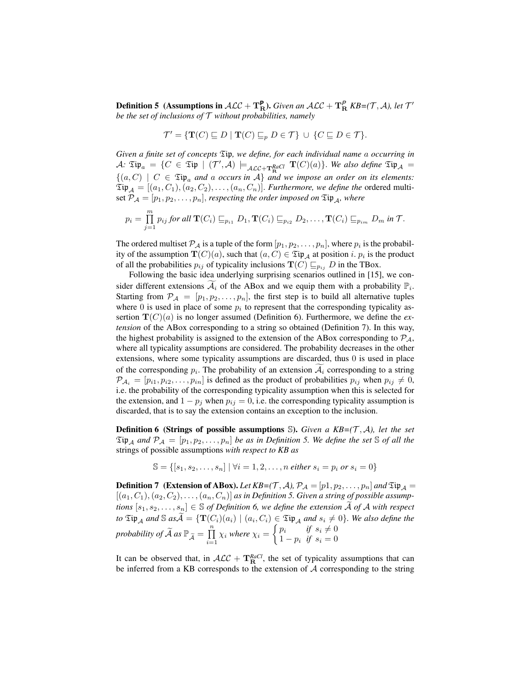**Definition 5** (Assumptions in  $\mathcal{ALC} + \mathbf{T}_{\mathbf{R}}^{\mathbf{P}}$ ). *Given an*  $\mathcal{ALC} + \mathbf{T}_{\mathbf{R}}^{\mathbf{P}}$  *KB*=(*T*, *A*), let *T*<sup>*'*</sup> *be the set of inclusions of* T *without probabilities, namely*

$$
\mathcal{T}' = \{ \mathbf{T}(C) \sqsubseteq D \mid \mathbf{T}(C) \sqsubseteq_p D \in \mathcal{T} \} \cup \{ C \sqsubseteq D \in \mathcal{T} \}.
$$

*Given a finite set of concepts* Tip*, we define, for each individual name* a *occurring in*  $\mathcal{A}$ :  $\mathfrak{Tip}_a = \{ C \in \mathfrak{Tip} \mid (\mathcal{T}',\mathcal{A}) \models_{\mathcal{ALC}+\mathbf{T}_{\mathbf{B}}^{RdCl}} \mathbf{T}(C)(a) \}.$  *We also define*  $\mathfrak{Tip}_{\mathcal{A}} =$  $\{(a, C) \mid C \in \mathfrak{Tip}_a \text{ and } a \text{ occurs in } A\}$  and we impose an order on its elements:  $\mathfrak{Tip}_{\mathcal{A}} = [(a_1, C_1), (a_2, C_2), \ldots, (a_n, C_n)]$ . *Furthermore, we define the* ordered multiset  $\mathcal{P}_{\mathcal{A}} = [p_1, p_2, \dots, p_n]$ , *respecting the order imposed on*  $\mathfrak{Tip}_{\mathcal{A}}$ *, where* 

$$
p_i = \prod_{j=1}^m p_{ij} \text{ for all } \mathbf{T}(C_i) \sqsubseteq_{p_{i1}} D_1, \mathbf{T}(C_i) \sqsubseteq_{p_{i2}} D_2, \ldots, \mathbf{T}(C_i) \sqsubseteq_{p_{im}} D_m \text{ in } \mathcal{T}.
$$

The ordered multiset  $P_A$  is a tuple of the form  $[p_1, p_2, \ldots, p_n]$ , where  $p_i$  is the probability of the assumption  $\mathbf{T}(C)(a)$ , such that  $(a, C) \in \mathfrak{Tip}_{\mathcal{A}}$  at position i.  $p_i$  is the product of all the probabilities  $p_{ij}$  of typicality inclusions  $\mathbf{T}(C) \sqsubseteq_{p_{ij}} D$  in the TBox.

Following the basic idea underlying surprising scenarios outlined in [15], we consider different extensions  $\widetilde{A_i}$  of the ABox and we equip them with a probability  $\mathbb{P}_i$ . Starting from  $\mathcal{P}_A = [p_1, p_2, \dots, p_n]$ , the first step is to build all alternative tuples where 0 is used in place of some  $p_i$  to represent that the corresponding typicality assertion  $\mathbf{T}(C)(a)$  is no longer assumed (Definition 6). Furthermore, we define the *extension* of the ABox corresponding to a string so obtained (Definition 7). In this way, the highest probability is assigned to the extension of the ABox corresponding to  $\mathcal{P}_{\mathcal{A}}$ , where all typicality assumptions are considered. The probability decreases in the other extensions, where some typicality assumptions are discarded, thus 0 is used in place of the corresponding  $p_i$ . The probability of an extension  $A_i$  corresponding to a string  $\mathcal{P}_{\mathcal{A}_i} = [p_{i1}, p_{i2}, \dots, p_{in}]$  is defined as the product of probabilities  $p_{ij}$  when  $p_{ij} \neq 0$ , i.e. the probability of the corresponding typicality assumption when this is selected for the extension, and  $1 - p_j$  when  $p_{ij} = 0$ , i.e. the corresponding typicality assumption is discarded, that is to say the extension contains an exception to the inclusion.

**Definition 6 (Strings of possible assumptions S).** Given a  $KB=(\mathcal{T}, \mathcal{A})$ , let the set  $\mathfrak{Tip}_{\mathcal{A}}$  and  $\mathcal{P}_{\mathcal{A}} = [p_1, p_2, \ldots, p_n]$  *be as in Definition 5. We define the set* S *of all the* strings of possible assumptions *with respect to KB as*

$$
\mathbb{S} = \{ [s_1, s_2, \dots, s_n] \mid \forall i = 1, 2, \dots, n \text{ either } s_i = p_i \text{ or } s_i = 0 \}
$$

**Definition 7** (Extension of ABox). Let  $KB=(\mathcal{T}, \mathcal{A}), \mathcal{P}_{\mathcal{A}}=[p1, p_2, \ldots, p_n]$  and  $\mathfrak{Tip}_{\mathcal{A}}=$  $[(a_1, C_1), (a_2, C_2), \ldots, (a_n, C_n)]$  *as in Definition 5. Given a string of possible assumptions*  $[s_1, s_2, \ldots, s_n] \in \mathbb{S}$  *of Definition* 6, we define the extension A of A with respect *to*  $\mathfrak{Tip}_{\mathcal{A}}$  *and*  $\mathbb{S}$  *as* $\widetilde{\mathcal{A}} = {\mathbf{T}(C_i)(a_i) \mid (a_i, C_i) \in \mathfrak{Tip}_{\mathcal{A}}}$  *and*  $s_i \neq 0}$ *. We also define the probability of*  $\widetilde{\mathcal{A}}$  *as*  $\mathbb{P}_{\widetilde{\mathcal{A}}} = \prod_{i=1}^n$  $\prod_{i=1}^n \chi_i$  where  $\chi_i = \begin{cases} p_i & \text{if } s_i \neq 0 \\ 1-p_i & \text{if } s_i = 0 \end{cases}$  $1 - p_i$  *if*  $s_i = 0$ 

It can be observed that, in  $ALC + T_R^{RaCl}$ , the set of typicality assumptions that can be inferred from a KB corresponds to the extension of  $A$  corresponding to the string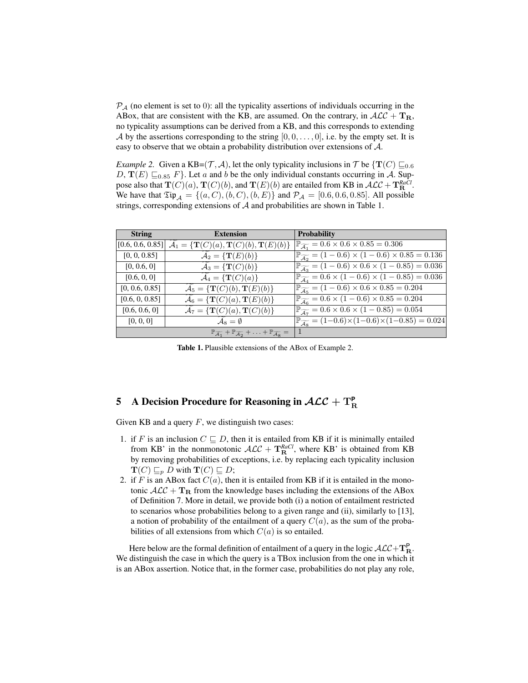$P_A$  (no element is set to 0): all the typicality assertions of individuals occurring in the ABox, that are consistent with the KB, are assumed. On the contrary, in  $ALC + T_R$ , no typicality assumptions can be derived from a KB, and this corresponds to extending A by the assertions corresponding to the string  $[0, 0, \ldots, 0]$ , i.e. by the empty set. It is easy to observe that we obtain a probability distribution over extensions of A.

*Example 2.* Given a KB=( $\mathcal{T}, \mathcal{A}$ ), let the only typicality inclusions in  $\mathcal{T}$  be { $\mathbf{T}(C) \sqsubseteq_{0.6}$  $D, T(E) \sqsubseteq_{0.85} F$ . Let a and b be the only individual constants occurring in A. Suppose also that  $\mathbf{T}(C)(a)$ ,  $\mathbf{T}(C)(b)$ , and  $\mathbf{T}(E)(b)$  are entailed from KB in  $\mathcal{ALC} + \mathbf{T}_{\mathbf{R}}^{RaCl}$ . We have that  $\mathfrak{Tip}_A = \{(a, C), (b, C), (b, E)\}\$  and  $\mathcal{P}_A = [0.6, 0.6, 0.85]$ . All possible strings, corresponding extensions of A and probabilities are shown in Table 1.

| <b>String</b>  | <b>Extension</b>                                                                                                                      | <b>Probability</b>                                                                        |
|----------------|---------------------------------------------------------------------------------------------------------------------------------------|-------------------------------------------------------------------------------------------|
|                | $[0.6, 0.6, 0.85]$ $\mathcal{A}_1 = \{ \mathbf{T}(C)(a), \mathbf{T}(C)(b), \mathbf{T}(E)(b) \}$                                       | $\mathbb{P}_{\widetilde{A_1}} = 0.6 \times 0.6 \times 0.85 = 0.306$                       |
| [0, 0, 0.85]   | $\mathcal{A}_2 = {\mathbf{T}(E)(b)}$                                                                                                  | $\mathbb{P}_{\widetilde{\mathcal{A}_2}} = (1 - 0.6) \times (1 - 0.6) \times 0.85 = 0.136$ |
| [0, 0.6, 0]    | $\mathcal{A}_3 = \{ \mathbf{T}(C)(b) \}$                                                                                              | $\mathbb{P}_{\widetilde{\mathcal{A}}_3} = (1 - 0.6) \times 0.6 \times (1 - 0.85) = 0.036$ |
| [0.6, 0, 0]    | $\mathcal{A}_4 = \{ \mathbf{T}(C)(a) \}$                                                                                              | $\mathbb{P}_{\widetilde{\mathcal{A}}_4} = 0.6 \times (1 - 0.6) \times (1 - 0.85) = 0.036$ |
| [0, 0.6, 0.85] | $\mathcal{A}_5 = \{ \mathbf{T}(C)(b), \mathbf{T}(E)(b) \}$                                                                            | $\mathbb{P}_{\widetilde{\mathcal{A}}_5} = (1 - 0.6) \times 0.6 \times 0.85 = 0.204$       |
| [0.6, 0, 0.85] | $\mathcal{A}_6 = \left\{ \mathbf{T}(C)(a), \mathbf{T}(E)(b) \right\}$                                                                 | $\mathbb{P}_{\widetilde{\mathcal{A}_6}} = 0.6 \times (1 - 0.6) \times 0.85 = 0.204$       |
| [0.6, 0.6, 0]  | $\mathcal{A}_7 = \{ \mathbf{T}(C)(a), \mathbf{T}(C)(b) \}$                                                                            | $\mathbb{P}_{\widetilde{\mathcal{A}}_7} = 0.6 \times 0.6 \times (1 - 0.85) = 0.054$       |
| [0, 0, 0]      | $\mathcal{A}_8 = \emptyset$                                                                                                           | $\mathbb{P}_{\widetilde{\mathcal{A}s}} = (1-0.6) \times (1-0.6) \times (1-0.85) = 0.024$  |
|                | $\mathbb{P}_{\widetilde{\mathcal{A}}_1} + \mathbb{P}_{\widetilde{\mathcal{A}}_2} + \ldots + \mathbb{P}_{\widetilde{\mathcal{A}}_8} =$ |                                                                                           |

Table 1. Plausible extensions of the ABox of Example 2.

## 5 A Decision Procedure for Reasoning in  $\mathcal{ALC} + \mathrm{T}_{\mathrm{R}}^{\mathsf{P}}$

Given KB and a query  $F$ , we distinguish two cases:

- 1. if F is an inclusion  $C \subseteq D$ , then it is entailed from KB if it is minimally entailed from KB' in the nonmonotonic  $\mathcal{ALC} + \mathbf{T}_{\mathbf{R}}^{RaCl}$ , where KB' is obtained from KB by removing probabilities of exceptions, i.e. by replacing each typicality inclusion  $\mathbf{T}(C) \sqsubseteq_{p} D$  with  $\mathbf{T}(C) \sqsubseteq D;$
- 2. if F is an ABox fact  $C(a)$ , then it is entailed from KB if it is entailed in the monotonic  $A\mathcal{LC} + \mathbf{T}_R$  from the knowledge bases including the extensions of the ABox of Definition 7. More in detail, we provide both (i) a notion of entailment restricted to scenarios whose probabilities belong to a given range and (ii), similarly to [13], a notion of probability of the entailment of a query  $C(a)$ , as the sum of the probabilities of all extensions from which  $C(a)$  is so entailed.

Here below are the formal definition of entailment of a query in the logic  $\mathcal{ALC}+\mathbf{T}_{\mathbf{R}}^{\mathsf{P}}$ . We distinguish the case in which the query is a TBox inclusion from the one in which it is an ABox assertion. Notice that, in the former case, probabilities do not play any role,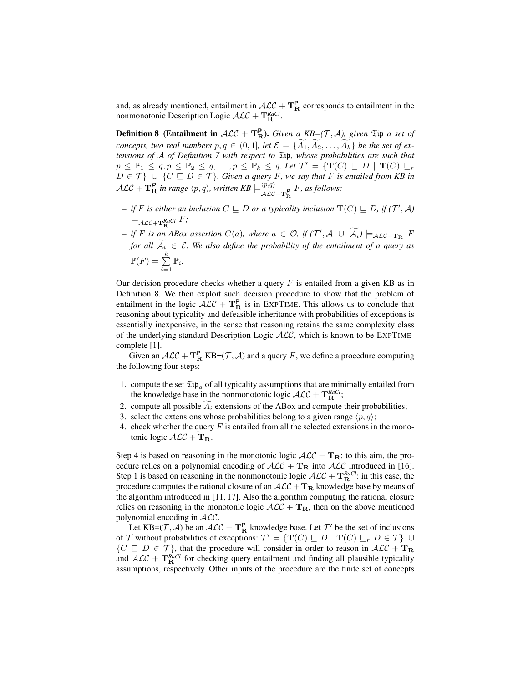and, as already mentioned, entailment in  $\mathcal{ALC} + \mathbf{T}_{\mathbf{R}}^{\mathbf{P}}$  corresponds to entailment in the nonmonotonic Description Logic  $\mathcal{ALC} + \mathbf{T}_{\mathbf{R}}^{RaCl}$ .

**Definition 8** (Entailment in  $ALC + T_R^P$ ). *Given a KB*=(*T*, *A*), *given*  $\mathfrak{Tip}$  *a set of concepts, two real numbers*  $p, q \in (0, 1]$ *, let*  $\mathcal{E} = \{A_1, A_2, \ldots, A_k\}$  *be the set of extensions of* A *of Definition 7 with respect to* Tip*, whose probabilities are such that*  $p \leq \mathbb{P}_1 \leq q, p \leq \mathbb{P}_2 \leq q, \ldots, p \leq \mathbb{P}_k \leq q$ . Let  $\mathcal{T}' = \{ \mathbf{T}(C) \sqsubseteq D \mid \mathbf{T}(C) \sqsubseteq r\}$  $D \in \mathcal{T}$   $\}$   $\cup$   $\{C \sqsubseteq D \in \mathcal{T}\}$ *. Given a query* F, we say that F is entailed from KB in  $\cal{ALC} + \mathbf{T}_R^P$  in range  $\langle p, q \rangle$ , written  $KB \models_{AC}^{\langle p, q \rangle}$  $\frac{\langle P, q \rangle}{\mathcal{ALC} + \mathbf{T}_{\mathbf{R}}^P}$  *F*, as follows:

- $-$  *if* F is either an inclusion  $C \sqsubseteq D$  or a typicality inclusion  $\mathbf{T}(C) \sqsubseteq D$ , if  $(\mathcal{T}', \mathcal{A})$  $\models_{\mathcal{ALC}+\mathbf{T}^{RaCl}_{\mathbf{R}}}F;$
- $-$  *if* F *is an ABox assertion*  $C(a)$ *, where*  $a \in \mathcal{O}$ *, if*  $(T', \mathcal{A} \cup \tilde{A}_i) \models_{\mathcal{ALC} + \mathbf{T_R}} F$ *for all*  $\widetilde{A}_i \in \mathcal{E}$ *. We also define the probability of the entailment of a query as*  $\mathbb{P}(F) = \sum_{k=1}^{k}$  $\sum_{i=1}^{\infty} \mathbb{P}_i$ .

Our decision procedure checks whether a query  $F$  is entailed from a given KB as in Definition 8. We then exploit such decision procedure to show that the problem of entailment in the logic  $\mathcal{ALC} + \mathbf{T}_{\mathbf{R}}^{\mathbf{P}}$  is in EXPTIME. This allows us to conclude that reasoning about typicality and defeasible inheritance with probabilities of exceptions is essentially inexpensive, in the sense that reasoning retains the same complexity class of the underlying standard Description Logic  $\text{ALC}$ , which is known to be EXPTIMEcomplete [1].

Given an  $ALC + T_R^P$  KB=(T, A) and a query F, we define a procedure computing the following four steps:

- 1. compute the set  $\mathfrak{Tip}_a$  of all typicality assumptions that are minimally entailed from the knowledge base in the nonmonotonic logic  $\mathcal{ALC} + \mathbf{T}_{\mathbf{R}}^{RaCl}$ ;
- 2. compute all possible  $A_i$  extensions of the ABox and compute their probabilities;
- 3. select the extensions whose probabilities belong to a given range  $\langle p, q \rangle$ ;
- 4. check whether the query  $F$  is entailed from all the selected extensions in the monotonic logic  $\mathcal{ALC} + \mathbf{T_R}$ .

Step 4 is based on reasoning in the monotonic logic  $A\mathcal{LC} + \mathbf{T}_{\mathbf{R}}$ : to this aim, the procedure relies on a polynomial encoding of  $A\mathcal{LC} + \mathbf{T}_R$  into  $A\mathcal{LC}$  introduced in [16]. Step 1 is based on reasoning in the nonmonotonic logic  $\mathcal{ALC} + \mathbf{T}_{\mathbf{R}}^{RaCl}$ : in this case, the procedure computes the rational closure of an  $ALC + T_R$  knowledge base by means of the algorithm introduced in [11, 17]. Also the algorithm computing the rational closure relies on reasoning in the monotonic logic  $A\mathcal{L}C + \mathbf{T}_{\mathbf{R}}$ , then on the above mentioned polynomial encoding in ALC.

Let KB=(T, A) be an  $ALC + T_R^P$  knowledge base. Let T' be the set of inclusions of T without probabilities of exceptions:  $\mathcal{T}' = {\{ \mathbf{T}(C) \sqsubseteq D \mid \mathbf{T}(C) \sqsubseteq_r D \in \mathcal{T} \}} \cup$  $\{C \sqsubseteq D \in \mathcal{T}\}\$ , that the procedure will consider in order to reason in  $\mathcal{ALC} + \mathbf{T_R}$ and  $\mathcal{ALC} + \mathbf{T}_{\mathbf{R}}^{RaCl}$  for checking query entailment and finding all plausible typicality assumptions, respectively. Other inputs of the procedure are the finite set of concepts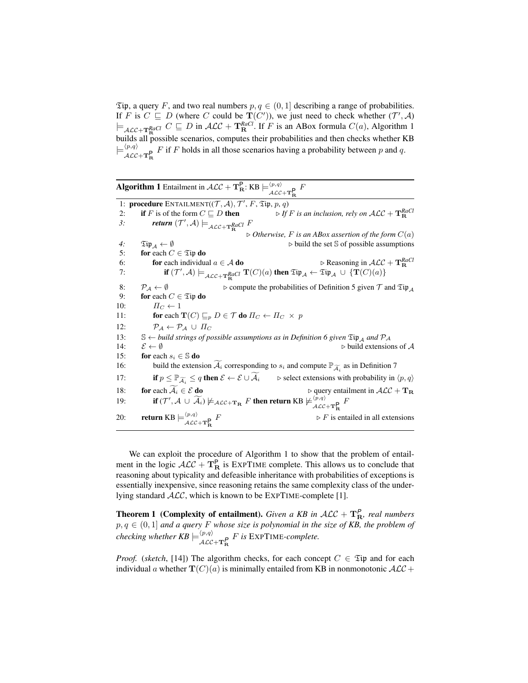$\mathfrak{Tip}$ , a query F, and two real numbers  $p, q \in (0, 1]$  describing a range of probabilities. If F is  $C \subseteq D$  (where C could be  $\mathbf{T}(C')$ ), we just need to check whether  $(\mathcal{T}', \mathcal{A})$  $\models_{\mathcal{ALC}+\mathbf{T}_{\mathbf{R}}^{Rad}} C \subseteq D$  in  $\mathcal{ALC}+\mathbf{T}_{\mathbf{R}}^{Rad}$ . If F is an ABox formula  $C(a)$ , Algorithm 1 builds all possible scenarios, computes their probabilities and then checks whether KB  $\models^{\langle p,q\rangle}$  $\mathcal{A}\mathcal{L}\mathcal{C}+\mathbf{T}_{\mathbf{R}}^{\mathbf{P}}$  F if F holds in all those scenarios having a probability between p and q.

**Algorithm 1** Entailment in  $\mathcal{ALC} + \mathbf{T}_{\mathbf{R}}^{\mathbf{P}}$ : KB  $\models_{\mathcal{ALC} + \mathbf{T}_{\mathbf{R}}^{\mathbf{P}}}^{\langle p,q \rangle}$  F

1: procedure ENTAILMENT $((\mathcal{T}, \mathcal{A}), \mathcal{T}', F, \mathfrak{Tip}, p, q)$ 2: **if** F is of the form  $C \sqsubseteq D$  **then**  $\triangleright$  *If* F *is an inclusion, rely on*  $\mathcal{ALC} + \mathbf{T}_{\mathbf{R}}^{RaCl}$ 3: *return*  $(T', A) \models_{\mathcal{ALC} + \mathbf{T}_{\mathbf{R}}^{RdCl}} F$  $\triangleright$  Otherwise, F is an ABox assertion of the form  $C(a)$ *4:*  $\mathfrak{Tip}_{\mathcal{A}} \leftarrow \emptyset$  build the set S of possible assumptions 5: for each  $C \in \mathfrak{Tip}$  do 6: **for** each individual  $a \in A$  **do** *RaCl* R 7: **if**  $(\mathcal{T}', \mathcal{A}) \models_{\mathcal{ALC} + \mathbf{T}_{\mathbf{R}}^{RdCl}} \mathbf{T}(C)(a)$  then  $\mathfrak{Tip}_{\mathcal{A}} \leftarrow \mathfrak{Tip}_{\mathcal{A}} \cup \{ \mathbf{T}(C)(a) \}$ 8:  $\mathcal{P}_A \leftarrow \emptyset$  <br>
9: **for** each  $C \in \mathfrak{Sing}$  **do**  $\Box$ for each  $C \in \mathfrak{Tip}$  do 10:  $\Pi_C \leftarrow 1$ 11: **for each T**(C)  $\sqsubseteq_p D \in \mathcal{T}$  **do**  $\Pi_C \leftarrow \Pi_C \times p$ 12:  $\mathcal{P}_{\mathcal{A}} \leftarrow \mathcal{P}_{\mathcal{A}} \cup \Pi_{C}$ 13: S ← *build strings of possible assumptions as in Definition 6 given*  $\mathfrak{Tip}_A$  *and*  $\mathcal{PA}$ <br>14:  $\mathcal{E} \leftarrow \emptyset$  $\triangleright$  build extensions of  $\mathcal A$ 15: for each  $s_i \in \mathbb{S}$  do 16: build the extension  $\widetilde{\mathcal{A}}_i$  corresponding to  $s_i$  and compute  $\mathbb{P}_{\widetilde{\mathcal{A}}_i}$  as in Definition 7 17: **if**  $p \leq \mathbb{P}_{\widetilde{\mathcal{A}}_i} \leq q$  then  $\mathcal{E} \leftarrow \mathcal{E} \cup \widetilde{\mathcal{A}}_i$   $\Rightarrow$  select extensions with probability in  $\langle p, q \rangle$ 18: **for** each  $A_i \in \mathcal{E}$  **do** .  $\triangleright$   $\downarrow$   $\downarrow$   $\downarrow$   $\downarrow$   $\downarrow$   $\downarrow$   $\downarrow$   $\downarrow$   $\downarrow$   $\downarrow$   $\downarrow$   $\downarrow$   $\downarrow$   $\downarrow$   $\downarrow$   $\downarrow$   $\downarrow$   $\downarrow$   $\downarrow$   $\downarrow$   $\downarrow$   $\downarrow$   $\downarrow$   $\downarrow$   $\downarrow$   $\downarrow$   $\downarrow$   $\downarrow$   $\downarrow$   $\downarrow$ 19: **if**  $(T', A \cup \widetilde{A_i}) \not\models_{\mathcal{ALC}+\mathbf{T_R}} F$  then return KB  $\not\models_{\mathcal{ALC}+\mathbf{T_R}}^{\langle p,q \rangle} F$ 20: **return** KB  $\models^{\langle p,q\rangle}_{\mathcal{ALC}+\mathbf{T}_{\mathbf{R}}^{\mathbf{p}}}$  $\triangleright F$  is entailed in all extensions

We can exploit the procedure of Algorithm 1 to show that the problem of entailment in the logic  $\mathcal{ALC} + \mathbf{T}_{\mathbf{R}}^{\mathsf{P}}$  is EXPTIME complete. This allows us to conclude that reasoning about typicality and defeasible inheritance with probabilities of exceptions is essentially inexpensive, since reasoning retains the same complexity class of the underlying standard  $ALC$ , which is known to be  $EXPTIME$ -complete [1].

**Theorem 1** (Complexity of entailment). *Given a KB in*  $ALC + T_R^P$ , real numbers  $p, q \in (0, 1]$  and a query F whose size is polynomial in the size of KB, the problem of *checking whether KB*  $\models$ <sup> $\langle p,q \rangle$ </sup>  $\frac{P^{(p,q)}}{\mathcal{ALC}+\mathbf{T_R}P}$  *F* is EXPTIME-complete.

*Proof.* (*sketch*, [14]) The algorithm checks, for each concept  $C \in \mathfrak{Tip}$  and for each individual a whether  $\mathbf{T}(C)(a)$  is minimally entailed from KB in nonmonotonic  $\mathcal{ALC}$  +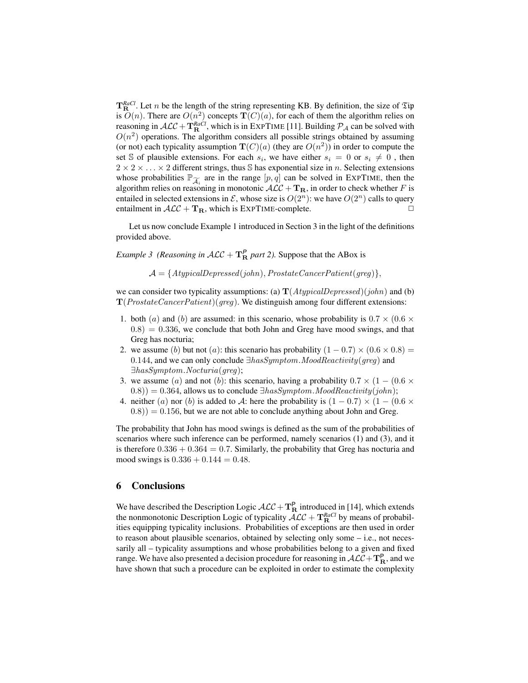$T^{RaCl}_{\mathbf{R}}$ . Let *n* be the length of the string representing KB. By definition, the size of  $\mathfrak{Tip}$ is  $O(n)$ . There are  $O(n^2)$  concepts  $\mathbf{T}(C)(a)$ , for each of them the algorithm relies on reasoning in  $\mathcal{ALC} + \mathbf{T}_{\mathbf{R}}^{RaCl}$ , which is in EXPTIME [11]. Building  $\mathcal{P}_{\mathcal{A}}$  can be solved with  $O(n^2)$  operations. The algorithm considers all possible strings obtained by assuming (or not) each typicality assumption  $\mathbf{T}(C)(a)$  (they are  $O(n^2)$ ) in order to compute the set S of plausible extensions. For each  $s_i$ , we have either  $s_i = 0$  or  $s_i \neq 0$ , then  $2 \times 2 \times \ldots \times 2$  different strings, thus S has exponential size in n. Selecting extensions whose probabilities  $\mathbb{P}_{\widetilde{\mathcal{A}}_i}$  are in the range  $[p, q]$  can be solved in EXPTIME, then the algorithm relies on reasoning in monotonic  $\mathcal{ALC} + \mathbf{T_R}$ , in order to check whether F is entailed in selected extensions in  $\mathcal{E}$ , whose size is  $O(2^n)$ : we have  $O(2^n)$  calls to query entailment in  $\mathcal{ALC} + \mathbf{T}_{\mathbf{R}}$ , which is EXPTIME-complete.

Let us now conclude Example 1 introduced in Section 3 in the light of the definitions provided above.

*Example 3 (Reasoning in*  $ALC + T_R^P$  *part 2).* Suppose that the ABox is

 $\mathcal{A} = \{AtypicalDepressed(john), Prostate Cancer Patient(qreg)\},\$ 

we can consider two typicality assumptions: (a)  $\mathbf{T}(AtypicalDepressed)(john)$  and (b)  $\mathbf{T}(Prostate Cancer Patient)(greg)$ . We distinguish among four different extensions:

- 1. both (a) and (b) are assumed: in this scenario, whose probability is  $0.7 \times (0.6 \times$  $(0.8) = 0.336$ , we conclude that both John and Greg have mood swings, and that Greg has nocturia;
- 2. we assume (b) but not (a): this scenario has probability  $(1 0.7) \times (0.6 \times 0.8)$  = 0.144, and we can only conclude  $\exists has Symptom. \textit{ModReactivity}(greg)$  and ∃hasSymptom.Nocturia(greg);
- 3. we assume (a) and not (b): this scenario, having a probability  $0.7 \times (1 (0.6 \times$  $(0.8)$ ) = 0.364, allows us to conclude  $\exists has Symptom. \textit{ModReactivity}(john);$
- 4. neither (a) nor (b) is added to A: here the probability is  $(1 0.7) \times (1 (0.6 \times$  $(0.8)$ ) = 0.156, but we are not able to conclude anything about John and Greg.

The probability that John has mood swings is defined as the sum of the probabilities of scenarios where such inference can be performed, namely scenarios (1) and (3), and it is therefore  $0.336 + 0.364 = 0.7$ . Similarly, the probability that Greg has nocturia and mood swings is  $0.336 + 0.144 = 0.48$ .

#### 6 Conclusions

We have described the Description Logic  $\mathcal{ALC} + \mathbf{T}_{\mathbf{R}}^{\mathbf{P}}$  introduced in [14], which extends the nonmonotonic Description Logic of typicality  $\mathcal{ALC} + \mathbf{T}_{\mathbf{R}}^{RaCl}$  by means of probabilities equipping typicality inclusions. Probabilities of exceptions are then used in order to reason about plausible scenarios, obtained by selecting only some  $-$  i.e., not necessarily all – typicality assumptions and whose probabilities belong to a given and fixed range. We have also presented a decision procedure for reasoning in  $\cal{ALC}+\mathbf{T}_R^P$ , and we have shown that such a procedure can be exploited in order to estimate the complexity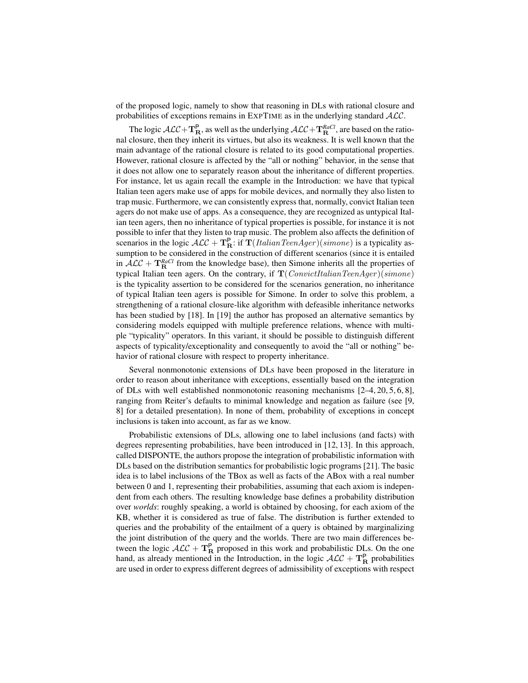of the proposed logic, namely to show that reasoning in DLs with rational closure and probabilities of exceptions remains in EXPTIME as in the underlying standard  $ALC$ .

The logic  $\mathcal{ALC} + \mathbf{T}_{\mathbf{R}}^{\mathsf{P}}$ , as well as the underlying  $\mathcal{ALC} + \mathbf{T}_{\mathbf{R}}^{\textit{RaCl}}$ , are based on the rational closure, then they inherit its virtues, but also its weakness. It is well known that the main advantage of the rational closure is related to its good computational properties. However, rational closure is affected by the "all or nothing" behavior, in the sense that it does not allow one to separately reason about the inheritance of different properties. For instance, let us again recall the example in the Introduction: we have that typical Italian teen agers make use of apps for mobile devices, and normally they also listen to trap music. Furthermore, we can consistently express that, normally, convict Italian teen agers do not make use of apps. As a consequence, they are recognized as untypical Italian teen agers, then no inheritance of typical properties is possible, for instance it is not possible to infer that they listen to trap music. The problem also affects the definition of scenarios in the logic  $\mathcal{ALC} + \mathbf{T}_{\mathbf{R}}^{\mathbf{P}}$ : if  $\mathbf{T}(ItalianTeamAger)(simone)$  is a typicality assumption to be considered in the construction of different scenarios (since it is entailed in  $\mathcal{ALC} + \mathbf{T}_{\mathbf{R}}^{RaCl}$  from the knowledge base), then Simone inherits all the properties of typical Italian teen agers. On the contrary, if  $\mathbf{T}(ConvictItalianTeamAge r)(simone)$ is the typicality assertion to be considered for the scenarios generation, no inheritance of typical Italian teen agers is possible for Simone. In order to solve this problem, a strengthening of a rational closure-like algorithm with defeasible inheritance networks has been studied by [18]. In [19] the author has proposed an alternative semantics by considering models equipped with multiple preference relations, whence with multiple "typicality" operators. In this variant, it should be possible to distinguish different aspects of typicality/exceptionality and consequently to avoid the "all or nothing" behavior of rational closure with respect to property inheritance.

Several nonmonotonic extensions of DLs have been proposed in the literature in order to reason about inheritance with exceptions, essentially based on the integration of DLs with well established nonmonotonic reasoning mechanisms  $[2-4, 20, 5, 6, 8]$ , ranging from Reiter's defaults to minimal knowledge and negation as failure (see [9, 8] for a detailed presentation). In none of them, probability of exceptions in concept inclusions is taken into account, as far as we know.

Probabilistic extensions of DLs, allowing one to label inclusions (and facts) with degrees representing probabilities, have been introduced in [12, 13]. In this approach, called DISPONTE, the authors propose the integration of probabilistic information with DLs based on the distribution semantics for probabilistic logic programs [21]. The basic idea is to label inclusions of the TBox as well as facts of the ABox with a real number between 0 and 1, representing their probabilities, assuming that each axiom is independent from each others. The resulting knowledge base defines a probability distribution over *worlds*: roughly speaking, a world is obtained by choosing, for each axiom of the KB, whether it is considered as true of false. The distribution is further extended to queries and the probability of the entailment of a query is obtained by marginalizing the joint distribution of the query and the worlds. There are two main differences between the logic  $\mathcal{ALC} + \mathbf{T}_{\mathbf{R}}^{\mathsf{P}}$  proposed in this work and probabilistic DLs. On the one hand, as already mentioned in the Introduction, in the logic  $\mathcal{ALC} + \mathbf{T}_{\mathbf{R}}^{\mathbf{P}}$  probabilities are used in order to express different degrees of admissibility of exceptions with respect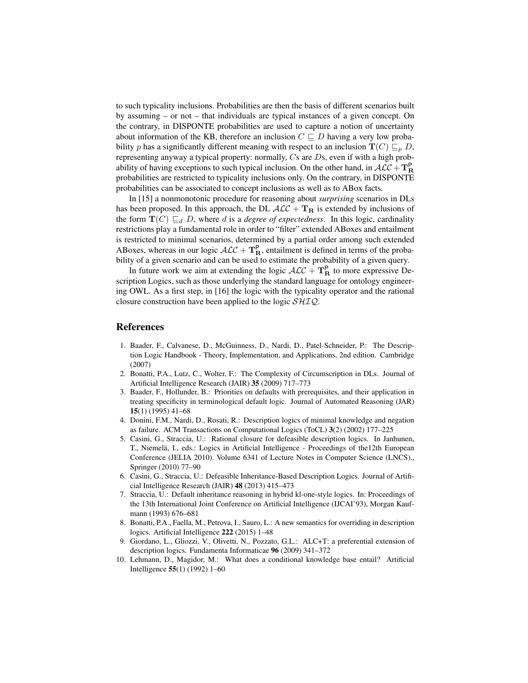to such typicality inclusions. Probabilities are then the basis of different scenarios built by assuming – or not – that individuals are typical instances of a given concept. On the contrary, in DISPONTE probabilities are used to capture a notion of uncertainty about information of the KB, therefore an inclusion  $C \sqsubseteq D$  having a very low probability p has a significantly different meaning with respect to an inclusion  $T(C) \sqsubseteq_p D$ , representing anyway a typical property: normally,  $C_s$  are  $D_s$ , even if with a high probability of having exceptions to such typical inclusion. On the other hand, in  $\cal{ALC} + \bf{T}_R^P$ probabilities are restricted to typicality inclusions only. On the contrary, in DISPONTE probabilities can be associated to concept inclusions as well as to ABox facts.

In [15] a nonmonotonic procedure for reasoning about *surprising* scenarios in DLs has been proposed. In this approach, the DL  $ALC + T_R$  is extended by inclusions of the form  $\mathbf{T}(C) \sqsubseteq_d D$ , where d is a *degree of expectedness*. In this logic, cardinality restrictions play a fundamental role in order to "filter" extended ABoxes and entailment is restricted to minimal scenarios, determined by a partial order among such extended ABoxes, whereas in our logic  $\mathcal{ALC} + \mathbf{T}_{\mathbf{R}}^{\mathsf{P}}$ , entailment is defined in terms of the probability of a given scenario and can be used to estimate the probability of a given query.

In future work we aim at extending the logic  $\mathcal{ALC} + \mathbf{T}_{\mathbf{R}}^{\mathsf{P}}$  to more expressive Description Logics, such as those underlying the standard language for ontology engineering OWL. As a first step, in [16] the logic with the typicality operator and the rational closure construction have been applied to the logic  $\mathcal{SHIQ}$ .

### References

- 1. Baader, F., Calvanese, D., McGuinness, D., Nardi, D., Patel-Schneider, P.: The Description Logic Handbook - Theory, Implementation, and Applications, 2nd edition. Cambridge (2007)
- 2. Bonatti, P.A., Lutz, C., Wolter, F.: The Complexity of Circumscription in DLs. Journal of Artificial Intelligence Research (JAIR) 35 (2009) 717–773
- 3. Baader, F., Hollunder, B.: Priorities on defaults with prerequisites, and their application in treating specificity in terminological default logic. Journal of Automated Reasoning (JAR) 15(1) (1995) 41–68
- 4. Donini, F.M., Nardi, D., Rosati, R.: Description logics of minimal knowledge and negation as failure. ACM Transactions on Computational Logics (ToCL) 3(2) (2002) 177–225
- 5. Casini, G., Straccia, U.: Rational closure for defeasible description logics. In Janhunen, T., Niemelä, I., eds.: Logics in Artificial Intelligence - Proceedings of the 12th European Conference (JELIA 2010). Volume 6341 of Lecture Notes in Computer Science (LNCS)., Springer (2010) 77–90
- 6. Casini, G., Straccia, U.: Defeasible Inheritance-Based Description Logics. Journal of Artificial Intelligence Research (JAIR) 48 (2013) 415–473
- 7. Straccia, U.: Default inheritance reasoning in hybrid kl-one-style logics. In: Proceedings of the 13th International Joint Conference on Artificial Intelligence (IJCAI'93), Morgan Kaufmann (1993) 676–681
- 8. Bonatti, P.A., Faella, M., Petrova, I., Sauro, L.: A new semantics for overriding in description logics. Artificial Intelligence 222 (2015) 1–48
- 9. Giordano, L., Gliozzi, V., Olivetti, N., Pozzato, G.L.: ALC+T: a preferential extension of description logics. Fundamenta Informaticae 96 (2009) 341–372
- 10. Lehmann, D., Magidor, M.: What does a conditional knowledge base entail? Artificial Intelligence 55(1) (1992) 1–60